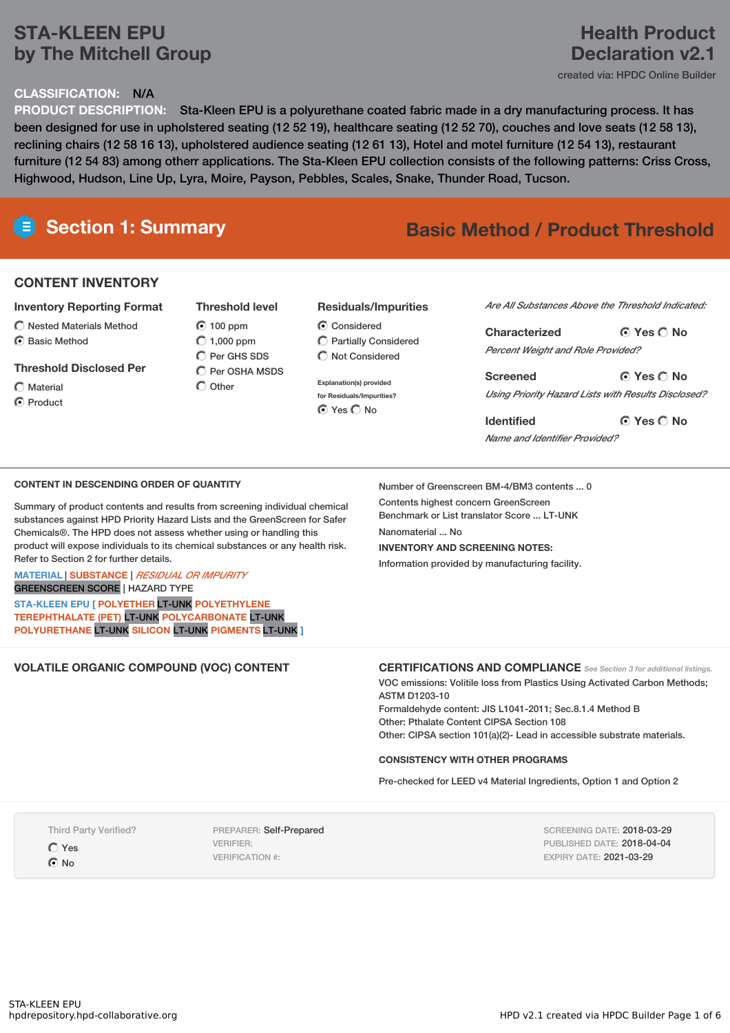# **STA-KLEEN EPU by The Mitchell Group**

#### **CLASSIFICATION:** N/A

### **PRODUCT DESCRIPTION:** Sta-Kleen EPU is a polyurethane coated fabric made in a dry manufacturing process. It has been designed for use in upholstered seating (12 52 19), healthcare seating (12 52 70), couches and love seats (12 58 13), reclining chairs (12 58 16 13), upholstered audience seating (12 61 13), Hotel and motel furniture (12 54 13), restaurant furniture (12 54 83) among otherr applications. The Sta-Kleen EPU collection consists of the following patterns: Criss Cross, Highwood, Hudson, Line Up, Lyra, Moire, Payson, Pebbles, Scales, Snake, Thunder Road, Tucson.

# **Section 1: Summary Basic Method / Product Threshold**

## **CONTENT INVENTORY**

#### **Inventory Reporting Format**

 $\bigcirc$  Nested Materials Method C Basic Method

#### **Threshold Disclosed Per**

- Material
- C Product

#### **100 ppm**  $O$  1,000 ppm  $\bigcap$  Per GHS SDS  $\bigcirc$  Per OSHA MSDS

**Threshold level**

 $\bigcap$  Other

#### **Residuals/Impurities**

- $\odot$  Considered Partially Considered  $\bigcap$  Not Considered
- **Explanation(s) provided for Residuals/Impurities?** ⊙ Yes O No

*Are All Substances Above the Threshold Indicated:*

**Yes No Characterized** *Percent Weight and Role Provided?*

**Yes No Screened** *Using Priority Hazard Lists with Results Disclosed?*

**Yes No Identified** *Name and Identifier Provided?*

#### **CONTENT IN DESCENDING ORDER OF QUANTITY**

Summary of product contents and results from screening individual chemical substances against HPD Priority Hazard Lists and the GreenScreen for Safer Chemicals®. The HPD does not assess whether using or handling this product will expose individuals to its chemical substances or any health risk. Refer to Section 2 for further details.

**MATERIAL** | **SUBSTANCE** | *RESIDUAL OR IMPURITY*

GREENSCREEN SCORE | HAZARD TYPE

**STA-KLEEN EPU [ POLYETHER** LT-UNK **POLYETHYLENE TEREPHTHALATE (PET)** LT-UNK **POLYCARBONATE** LT-UNK **POLYURETHANE** LT-UNK **SILICON** LT-UNK **PIGMENTS** LT-UNK **]**

Number of Greenscreen BM-4/BM3 contents ... 0 Contents highest concern GreenScreen Benchmark or List translator Score ... LT-UNK Nanomaterial No **INVENTORY AND SCREENING NOTES:**

Information provided by manufacturing facility.

#### **VOLATILE ORGANIC COMPOUND (VOC) CONTENT CERTIFICATIONS AND COMPLIANCE** *See Section <sup>3</sup> for additional listings.*

VOC emissions: Volitile loss from Plastics Using Activated Carbon Methods; ASTM D1203-10 Formaldehyde content: JIS L1041-2011; Sec.8.1.4 Method B

Other: Pthalate Content CIPSA Section 108 Other: CIPSA section 101(a)(2)- Lead in accessible substrate materials.

#### **CONSISTENCY WITH OTHER PROGRAMS**

Pre-checked for LEED v4 Material Ingredients, Option 1 and Option 2

Third Party Verified?

Yes G<sub>No</sub>

PREPARER: Self-Prepared VERIFIER: VERIFICATION #:

SCREENING DATE: 2018-03-29 PUBLISHED DATE: 2018-04-04 EXPIRY DATE: 2021-03-29

# **Health Product Declaration v2.1**

created via: HPDC Online Builder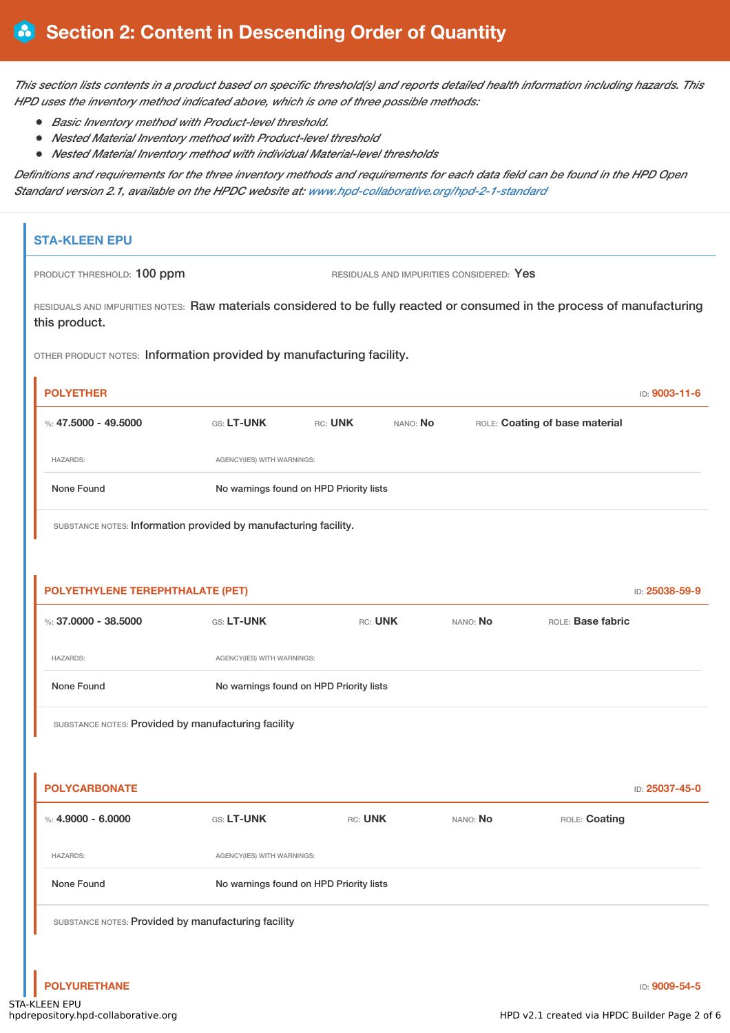This section lists contents in a product based on specific threshold(s) and reports detailed health information including hazards. This *HPD uses the inventory method indicated above, which is one of three possible methods:*

- *Basic Inventory method with Product-level threshold.*
- *Nested Material Inventory method with Product-level threshold*
- $\bullet$ *Nested Material Inventory method with individual Material-level thresholds*

Definitions and requirements for the three inventory methods and requirements for each data field can be found in the HPD Open *Standard version 2.1, available on the HPDC website at: www.hpd-collaborative.org/hpd-2-1-standard*

# **STA-KLEEN EPU** PRODUCT THRESHOLD: 100 ppm RESIDUALS AND IMPURITIES CONSIDERED: Yes RESIDUALS AND IMPURITIES NOTES: Raw materials considered to be fully reacted or consumed in the process of manufacturing this product. OTHER PRODUCT NOTES: Information provided by manufacturing facility. **POLYETHER** ID: **9003-11-6** %: **47.5000 - 49.5000** GS: **LT-UNK** RC: **UNK** NANO: **No** ROLE: **Coating of base material** HAZARDS: AGENCY(IES) WITH WARNINGS: None Found No warnings found on HPD Priority lists SUBSTANCE NOTES: Information provided by manufacturing facility. **POLYETHYLENE TEREPHTHALATE (PET)** ID: **25038-59-9** %: **37.0000 - 38.5000** GS: **LT-UNK** RC: **UNK** NANO: **No** ROLE: **Base fabric** HAZARDS: AGENCY(IES) WITH WARNINGS: None Found No warnings found on HPD Priority lists SUBSTANCE NOTES: Provided by manufacturing facility **POLYCARBONATE** ID: **25037-45-0** %: **4.9000 - 6.0000** GS: **LT-UNK** RC: **UNK** NANO: **No** ROLE: **Coating** HAZARDS: AGENCY(IES) WITH WARNINGS: None Found No warnings found on HPD Priority lists SUBSTANCE NOTES: Provided by manufacturing facility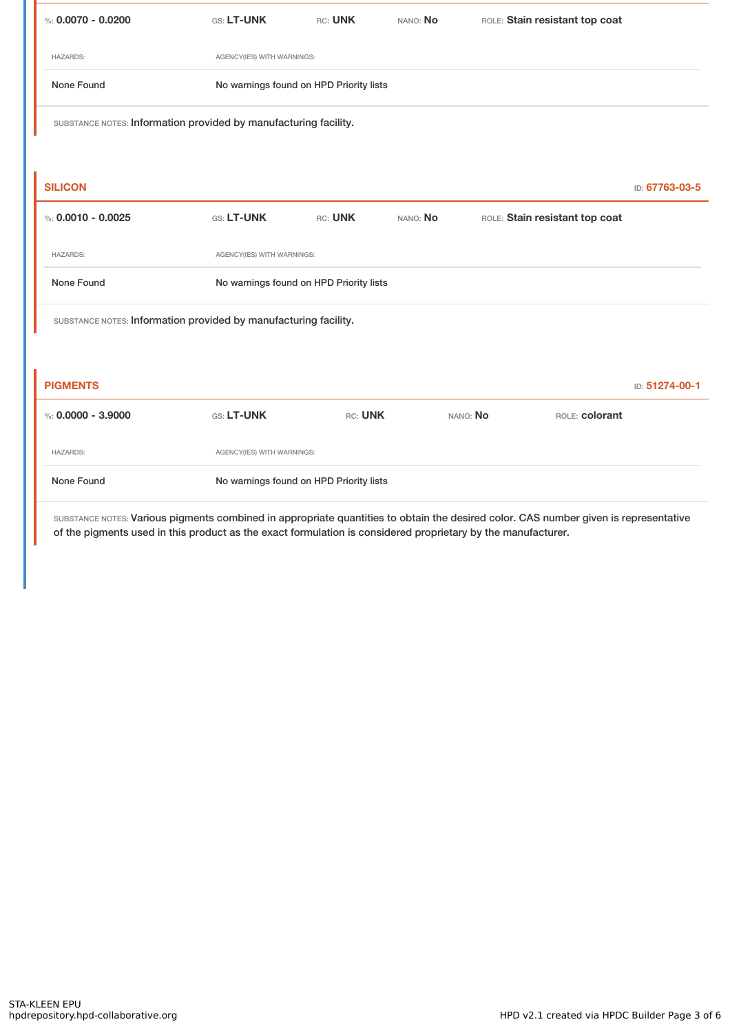| %: $0.0070 - 0.0200$                                             | <b>GS: LT-UNK</b>                       | RC: UNK | NANO: No | ROLE: Stain resistant top coat |                |  |  |
|------------------------------------------------------------------|-----------------------------------------|---------|----------|--------------------------------|----------------|--|--|
| <b>HAZARDS:</b>                                                  | AGENCY(IES) WITH WARNINGS:              |         |          |                                |                |  |  |
| None Found                                                       | No warnings found on HPD Priority lists |         |          |                                |                |  |  |
| SUBSTANCE NOTES: Information provided by manufacturing facility. |                                         |         |          |                                |                |  |  |
|                                                                  |                                         |         |          |                                |                |  |  |
| <b>SILICON</b>                                                   |                                         |         |          |                                | ID: 67763-03-5 |  |  |
|                                                                  |                                         |         |          |                                |                |  |  |
| %: $0.0010 - 0.0025$                                             | GS: LT-UNK                              | RC: UNK | NANO: No | ROLE: Stain resistant top coat |                |  |  |
| <b>HAZARDS:</b>                                                  | AGENCY(IES) WITH WARNINGS:              |         |          |                                |                |  |  |
| None Found                                                       | No warnings found on HPD Priority lists |         |          |                                |                |  |  |
| SUBSTANCE NOTES: Information provided by manufacturing facility. |                                         |         |          |                                |                |  |  |
|                                                                  |                                         |         |          |                                |                |  |  |

| %: 0,0000 - 3,9000 | <b>GS: LT-UNK</b>                       | RC: UNK | NANO: No | ROLE: colorant |  |  |
|--------------------|-----------------------------------------|---------|----------|----------------|--|--|
| <b>HAZARDS:</b>    | AGENCY(IES) WITH WARNINGS:              |         |          |                |  |  |
| None Found         | No warnings found on HPD Priority lists |         |          |                |  |  |

SUBSTANCE NOTES: Various pigments combined in appropriate quantities to obtain the desired color. CAS number given is representative of the pigments used in this product as the exact formulation is considered proprietary by the manufacturer.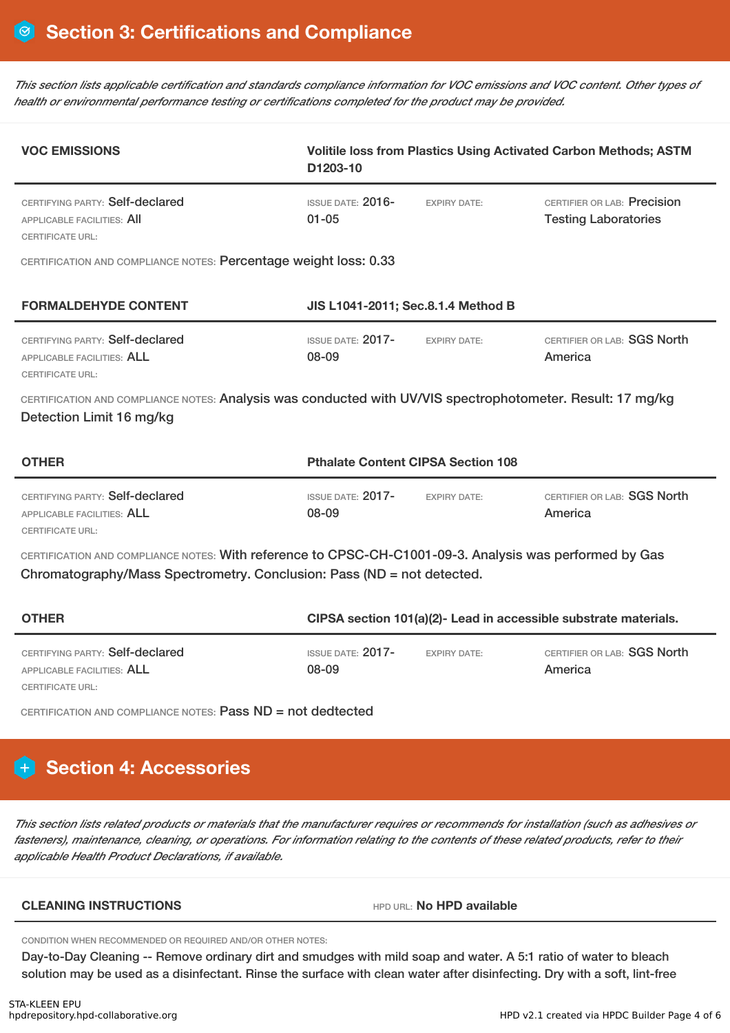This section lists applicable certification and standards compliance information for VOC emissions and VOC content. Other types of *health or environmental performance testing or certifications completed for the product may be provided.*

| <b>VOC EMISSIONS</b>                                                                                                                                                              | Volitile loss from Plastics Using Activated Carbon Methods; ASTM<br>D1203-10 |                     |                                                            |  |  |  |  |  |
|-----------------------------------------------------------------------------------------------------------------------------------------------------------------------------------|------------------------------------------------------------------------------|---------------------|------------------------------------------------------------|--|--|--|--|--|
| CERTIFYING PARTY: Self-declared<br><b>APPLICABLE FACILITIES: AII</b><br><b>CERTIFICATE URL:</b>                                                                                   | ISSUE DATE: 2016-<br>$01 - 05$                                               | <b>EXPIRY DATE:</b> | CERTIFIER OR LAB: Precision<br><b>Testing Laboratories</b> |  |  |  |  |  |
| CERTIFICATION AND COMPLIANCE NOTES: Percentage weight loss: 0.33                                                                                                                  |                                                                              |                     |                                                            |  |  |  |  |  |
| <b>FORMALDEHYDE CONTENT</b>                                                                                                                                                       | JIS L1041-2011; Sec.8.1.4 Method B                                           |                     |                                                            |  |  |  |  |  |
| CERTIFYING PARTY: Self-declared<br>APPLICABLE FACILITIES: ALL<br><b>CERTIFICATE URL:</b>                                                                                          | <b>ISSUE DATE: 2017-</b><br>08-09                                            | <b>EXPIRY DATE:</b> | CERTIFIER OR LAB: SGS North<br>America                     |  |  |  |  |  |
| CERTIFICATION AND COMPLIANCE NOTES: Analysis was conducted with UV/VIS spectrophotometer. Result: 17 mg/kg<br>Detection Limit 16 mg/kg                                            |                                                                              |                     |                                                            |  |  |  |  |  |
| <b>OTHER</b>                                                                                                                                                                      | <b>Pthalate Content CIPSA Section 108</b>                                    |                     |                                                            |  |  |  |  |  |
| CERTIFYING PARTY: Self-declared<br>APPLICABLE FACILITIES: ALL<br><b>CERTIFICATE URL:</b>                                                                                          | <b>ISSUE DATE: 2017-</b><br>08-09                                            | <b>EXPIRY DATE:</b> | CERTIFIER OR LAB: SGS North<br>America                     |  |  |  |  |  |
| CERTIFICATION AND COMPLIANCE NOTES: With reference to CPSC-CH-C1001-09-3. Analysis was performed by Gas<br>Chromatography/Mass Spectrometry. Conclusion: Pass (ND = not detected. |                                                                              |                     |                                                            |  |  |  |  |  |
| <b>OTHER</b>                                                                                                                                                                      | CIPSA section 101(a)(2)- Lead in accessible substrate materials.             |                     |                                                            |  |  |  |  |  |
| CERTIFYING PARTY: Self-declared<br>APPLICABLE FACILITIES: ALL<br>CERTIFICATE URL:                                                                                                 | <b>ISSUE DATE: 2017-</b><br>08-09                                            | <b>EXPIRY DATE:</b> | CERTIFIER OR LAB: SGS North<br>America                     |  |  |  |  |  |
| CERTIFICATION AND COMPLIANCE NOTES: Pass ND = not dedtected                                                                                                                       |                                                                              |                     |                                                            |  |  |  |  |  |
| <b>Section 4: Accessories</b>                                                                                                                                                     |                                                                              |                     |                                                            |  |  |  |  |  |

This section lists related products or materials that the manufacturer requires or recommends for installation (such as adhesives or fasteners), maintenance, cleaning, or operations. For information relating to the contents of these related products, refer to their *applicable Health Product Declarations, if available.*

#### **CLEANING INSTRUCTIONS** HPD URL: **No HPD available**

CONDITION WHEN RECOMMENDED OR REQUIRED AND/OR OTHER NOTES:

Day-to-Day Cleaning -- Remove ordinary dirt and smudges with mild soap and water. A 5:1 ratio of water to bleach solution may be used as a disinfectant. Rinse the surface with clean water after disinfecting. Dry with a soft, lint-free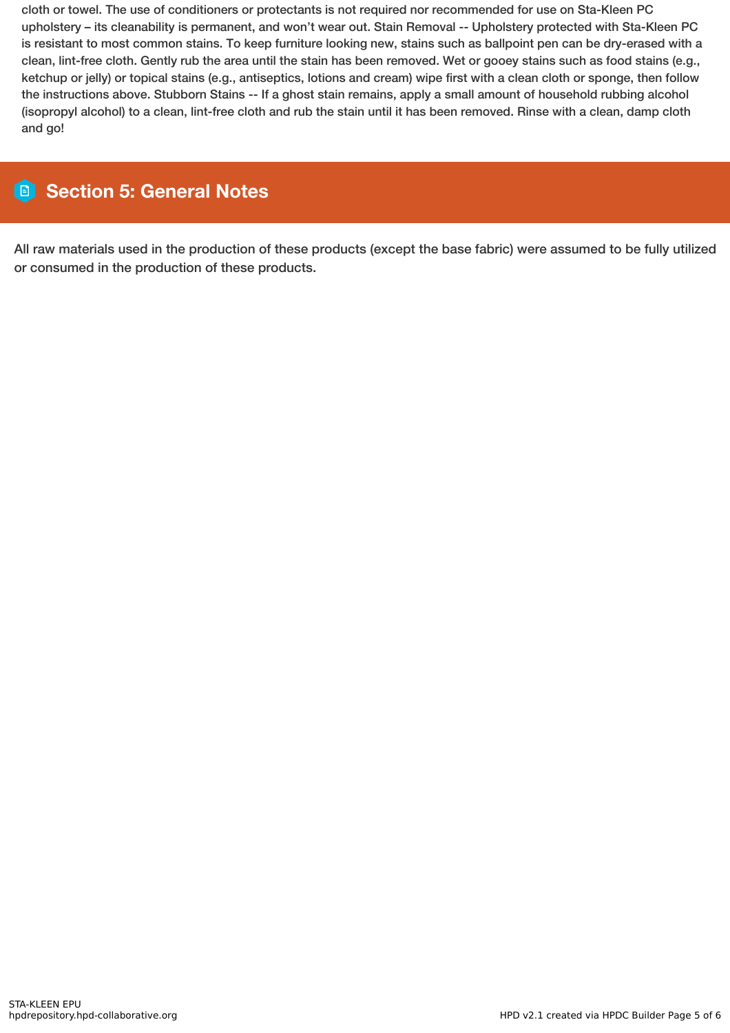cloth or towel. The use of conditioners or protectants is not required nor recommended for use on Sta-Kleen PC upholstery – its cleanability is permanent, and won't wear out. Stain Removal -- Upholstery protected with Sta-Kleen PC is resistant to most common stains. To keep furniture looking new, stains such as ballpoint pen can be dry-erased with a clean, lint-free cloth. Gently rub the area until the stain has been removed. Wet or gooey stains such as food stains (e.g., ketchup or jelly) or topical stains (e.g., antiseptics, lotions and cream) wipe first with a clean cloth or sponge, then follow the instructions above. Stubborn Stains -- If a ghost stain remains, apply a small amount of household rubbing alcohol (isopropyl alcohol) to a clean, lint-free cloth and rub the stain until it has been removed. Rinse with a clean, damp cloth and go!

# **Section 5: General Notes**

All raw materials used in the production of these products (except the base fabric) were assumed to be fully utilized or consumed in the production of these products.